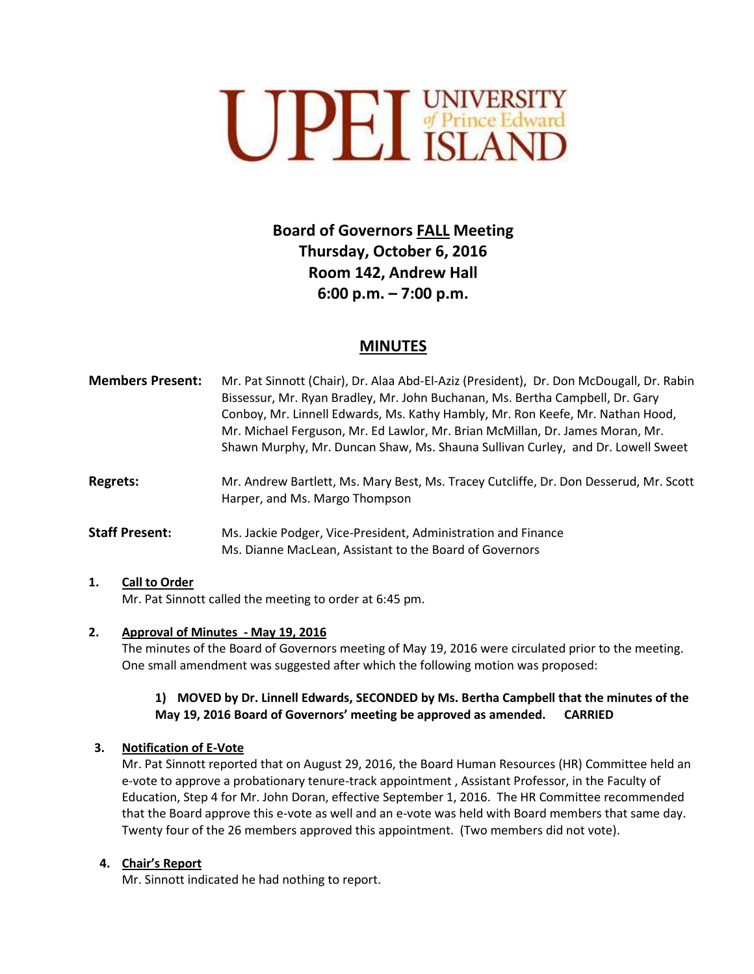

# **Board of Governors FALL Meeting Thursday, October 6, 2016 Room 142, Andrew Hall 6:00 p.m. – 7:00 p.m.**

# **MINUTES**

| <b>Members Present:</b> | Mr. Pat Sinnott (Chair), Dr. Alaa Abd-El-Aziz (President), Dr. Don McDougall, Dr. Rabin |
|-------------------------|-----------------------------------------------------------------------------------------|
|                         | Bissessur, Mr. Ryan Bradley, Mr. John Buchanan, Ms. Bertha Campbell, Dr. Gary           |
|                         | Conboy, Mr. Linnell Edwards, Ms. Kathy Hambly, Mr. Ron Keefe, Mr. Nathan Hood,          |
|                         | Mr. Michael Ferguson, Mr. Ed Lawlor, Mr. Brian McMillan, Dr. James Moran, Mr.           |
|                         | Shawn Murphy, Mr. Duncan Shaw, Ms. Shauna Sullivan Curley, and Dr. Lowell Sweet         |
|                         |                                                                                         |

**Regrets:** Mr. Andrew Bartlett, Ms. Mary Best, Ms. Tracey Cutcliffe, Dr. Don Desserud, Mr. Scott Harper, and Ms. Margo Thompson

**Staff Present:** Ms. Jackie Podger, Vice-President, Administration and Finance Ms. Dianne MacLean, Assistant to the Board of Governors

#### **1. Call to Order**

Mr. Pat Sinnott called the meeting to order at 6:45 pm.

#### **2. Approval of Minutes - May 19, 2016**

The minutes of the Board of Governors meeting of May 19, 2016 were circulated prior to the meeting. One small amendment was suggested after which the following motion was proposed:

### **1) MOVED by Dr. Linnell Edwards, SECONDED by Ms. Bertha Campbell that the minutes of the May 19, 2016 Board of Governors' meeting be approved as amended. CARRIED**

#### **3. Notification of E-Vote**

Mr. Pat Sinnott reported that on August 29, 2016, the Board Human Resources (HR) Committee held an e-vote to approve a probationary tenure-track appointment , Assistant Professor, in the Faculty of Education, Step 4 for Mr. John Doran, effective September 1, 2016. The HR Committee recommended that the Board approve this e-vote as well and an e-vote was held with Board members that same day. Twenty four of the 26 members approved this appointment. (Two members did not vote).

#### **4. Chair's Report**

Mr. Sinnott indicated he had nothing to report.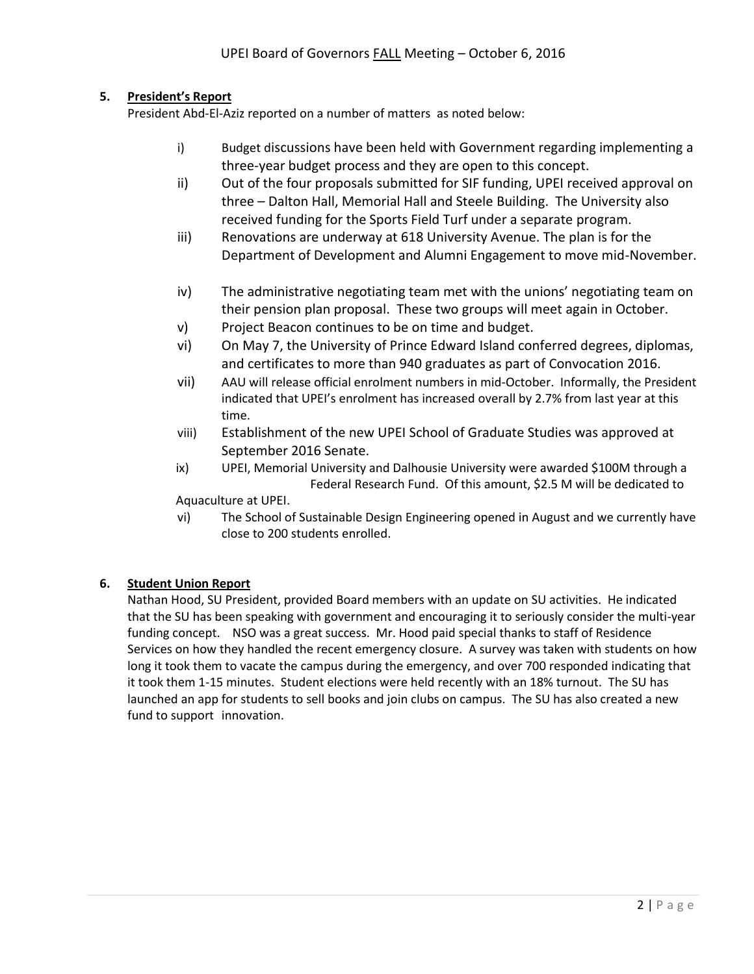# **5. President's Report**

President Abd-El-Aziz reported on a number of matters as noted below:

- i) Budget discussions have been held with Government regarding implementing a three-year budget process and they are open to this concept.
- ii) Out of the four proposals submitted for SIF funding, UPEI received approval on three – Dalton Hall, Memorial Hall and Steele Building. The University also received funding for the Sports Field Turf under a separate program.
- iii) Renovations are underway at 618 University Avenue. The plan is for the Department of Development and Alumni Engagement to move mid-November.
- iv) The administrative negotiating team met with the unions' negotiating team on their pension plan proposal. These two groups will meet again in October.
- v) Project Beacon continues to be on time and budget.
- vi) On May 7, the University of Prince Edward Island conferred degrees, diplomas, and certificates to more than 940 graduates as part of Convocation 2016.
- vii) AAU will release official enrolment numbers in mid-October. Informally, the President indicated that UPEI's enrolment has increased overall by 2.7% from last year at this time.
- viii) Establishment of the new UPEI School of Graduate Studies was approved at September 2016 Senate.
- ix) UPEI, Memorial University and Dalhousie University were awarded \$100M through a Federal Research Fund. Of this amount, \$2.5 M will be dedicated to

Aquaculture at UPEI.

vi) The School of Sustainable Design Engineering opened in August and we currently have close to 200 students enrolled.

# **6. Student Union Report**

Nathan Hood, SU President, provided Board members with an update on SU activities. He indicated that the SU has been speaking with government and encouraging it to seriously consider the multi-year funding concept. NSO was a great success. Mr. Hood paid special thanks to staff of Residence Services on how they handled the recent emergency closure. A survey was taken with students on how long it took them to vacate the campus during the emergency, and over 700 responded indicating that it took them 1-15 minutes. Student elections were held recently with an 18% turnout. The SU has launched an app for students to sell books and join clubs on campus. The SU has also created a new fund to support innovation.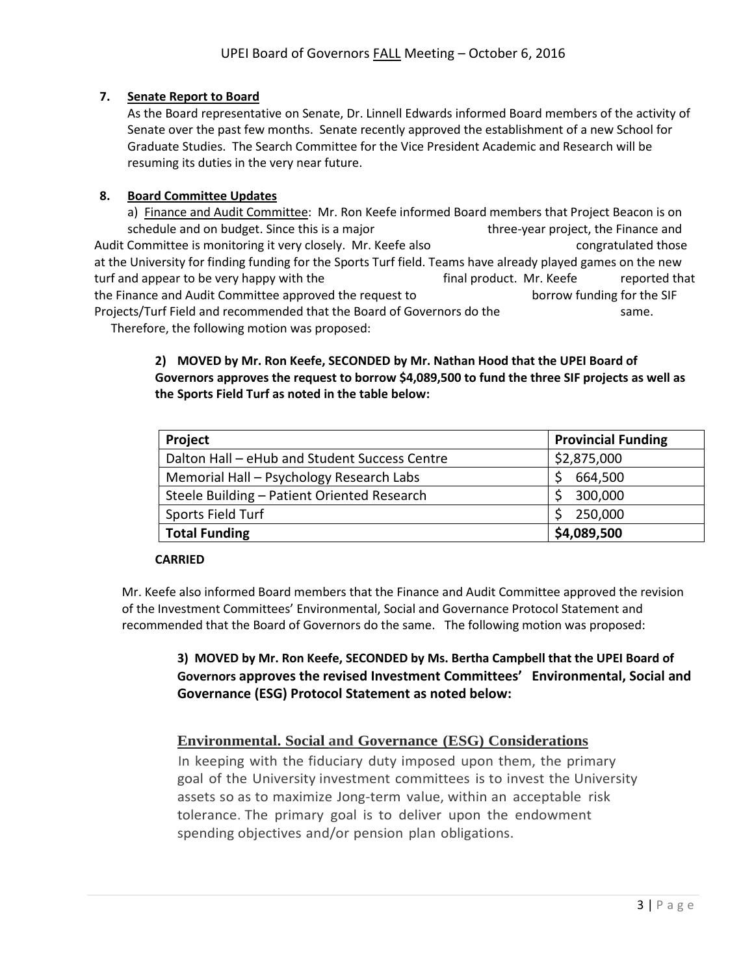# **7. Senate Report to Board**

As the Board representative on Senate, Dr. Linnell Edwards informed Board members of the activity of Senate over the past few months. Senate recently approved the establishment of a new School for Graduate Studies. The Search Committee for the Vice President Academic and Research will be resuming its duties in the very near future.

### **8. Board Committee Updates**

a) Finance and Audit Committee: Mr. Ron Keefe informed Board members that Project Beacon is on schedule and on budget. Since this is a major three-year project, the Finance and Audit Committee is monitoring it very closely. Mr. Keefe also constant and congratulated those at the University for finding funding for the Sports Turf field. Teams have already played games on the new turf and appear to be very happy with the final product. Mr. Keefe reported that the Finance and Audit Committee approved the request to borrow funding for the SIF Projects/Turf Field and recommended that the Board of Governors do the same.

Therefore, the following motion was proposed:

# **2) MOVED by Mr. Ron Keefe, SECONDED by Mr. Nathan Hood that the UPEI Board of Governors approves the request to borrow \$4,089,500 to fund the three SIF projects as well as the Sports Field Turf as noted in the table below:**

| Project                                       | <b>Provincial Funding</b> |
|-----------------------------------------------|---------------------------|
| Dalton Hall - eHub and Student Success Centre | \$2,875,000               |
| Memorial Hall - Psychology Research Labs      | 664,500                   |
| Steele Building - Patient Oriented Research   | 300,000                   |
| Sports Field Turf                             | 250,000                   |
| <b>Total Funding</b>                          | \$4,089,500               |

#### **CARRIED**

Mr. Keefe also informed Board members that the Finance and Audit Committee approved the revision of the Investment Committees' Environmental, Social and Governance Protocol Statement and recommended that the Board of Governors do the same. The following motion was proposed:

**3) MOVED by Mr. Ron Keefe, SECONDED by Ms. Bertha Campbell that the UPEI Board of Governors approves the revised Investment Committees' Environmental, Social and Governance (ESG) Protocol Statement as noted below:**

# **Environmental. Social and Governance (ESG) Considerations**

In keeping with the fiduciary duty imposed upon them, the primary goal of the University investment committees is to invest the University assets so as to maximize Jong-term value, within an acceptable risk tolerance. The primary goal is to deliver upon the endowment spending objectives and/or pension plan obligations.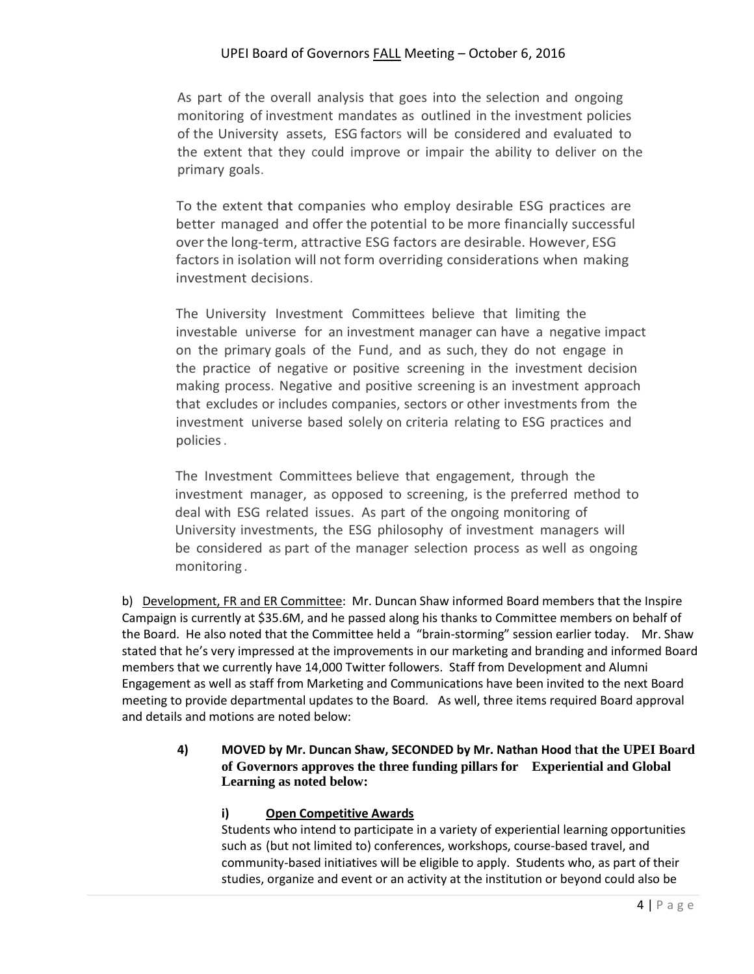# UPEI Board of Governors FALL Meeting – October 6, 2016

As part of the overall analysis that goes into the selection and ongoing monitoring of investment mandates as outlined in the investment policies of the University assets, ESG factors will be considered and evaluated to the extent that they could improve or impair the ability to deliver on the primary goals.

To the extent that companies who employ desirable ESG practices are better managed and offer the potential to be more financially successful over the long-term, attractive ESG factors are desirable. However, ESG factors in isolation will not form overriding considerations when making investment decisions.

The University Investment Committees believe that limiting the investable universe for an investment manager can have a negative impact on the primary goals of the Fund, and as such, they do not engage in the practice of negative or positive screening in the investment decision making process. Negative and positive screening is an investment approach that excludes or includes companies, sectors or other investments from the investment universe based solely on criteria relating to ESG practices and policies.

The Investment Committees believe that engagement, through the investment manager, as opposed to screening, is the preferred method to deal with ESG related issues. As part of the ongoing monitoring of University investments, the ESG philosophy of investment managers will be considered as part of the manager selection process as well as ongoing monitoring .

b) Development, FR and ER Committee: Mr. Duncan Shaw informed Board members that the Inspire Campaign is currently at \$35.6M, and he passed along his thanks to Committee members on behalf of the Board. He also noted that the Committee held a "brain-storming" session earlier today. Mr. Shaw stated that he's very impressed at the improvements in our marketing and branding and informed Board members that we currently have 14,000 Twitter followers. Staff from Development and Alumni Engagement as well as staff from Marketing and Communications have been invited to the next Board meeting to provide departmental updates to the Board. As well, three items required Board approval and details and motions are noted below:

#### **4) MOVED by Mr. Duncan Shaw, SECONDED by Mr. Nathan Hood** t**hat the UPEI Board of Governors approves the three funding pillars for Experiential and Global Learning as noted below:**

# **i) Open Competitive Awards**

Students who intend to participate in a variety of experiential learning opportunities such as (but not limited to) conferences, workshops, course-based travel, and community-based initiatives will be eligible to apply. Students who, as part of their studies, organize and event or an activity at the institution or beyond could also be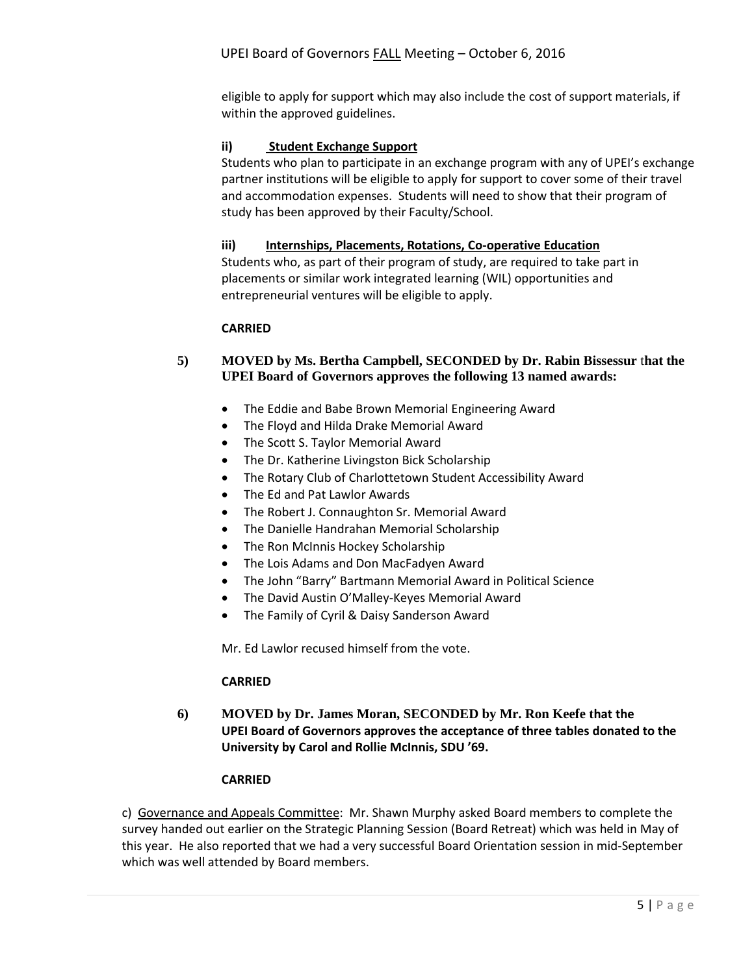eligible to apply for support which may also include the cost of support materials, if within the approved guidelines.

#### **ii) Student Exchange Support**

Students who plan to participate in an exchange program with any of UPEI's exchange partner institutions will be eligible to apply for support to cover some of their travel and accommodation expenses. Students will need to show that their program of study has been approved by their Faculty/School.

#### **iii) Internships, Placements, Rotations, Co-operative Education**

Students who, as part of their program of study, are required to take part in placements or similar work integrated learning (WIL) opportunities and entrepreneurial ventures will be eligible to apply.

#### **CARRIED**

### **5) MOVED by Ms. Bertha Campbell, SECONDED by Dr. Rabin Bissessur** t**hat the UPEI Board of Governors approves the following 13 named awards:**

- The Eddie and Babe Brown Memorial Engineering Award
- The Floyd and Hilda Drake Memorial Award
- The Scott S. Taylor Memorial Award
- The Dr. Katherine Livingston Bick Scholarship
- The Rotary Club of Charlottetown Student Accessibility Award
- The Ed and Pat Lawlor Awards
- The Robert J. Connaughton Sr. Memorial Award
- The Danielle Handrahan Memorial Scholarship
- The Ron McInnis Hockey Scholarship
- The Lois Adams and Don MacFadyen Award
- The John "Barry" Bartmann Memorial Award in Political Science
- The David Austin O'Malley-Keyes Memorial Award
- The Family of Cyril & Daisy Sanderson Award

Mr. Ed Lawlor recused himself from the vote.

#### **CARRIED**

**6) MOVED by Dr. James Moran, SECONDED by Mr. Ron Keefe that the UPEI Board of Governors approves the acceptance of three tables donated to the University by Carol and Rollie McInnis, SDU '69.** 

#### **CARRIED**

c)Governance and Appeals Committee: Mr. Shawn Murphy asked Board members to complete the survey handed out earlier on the Strategic Planning Session (Board Retreat) which was held in May of this year. He also reported that we had a very successful Board Orientation session in mid-September which was well attended by Board members.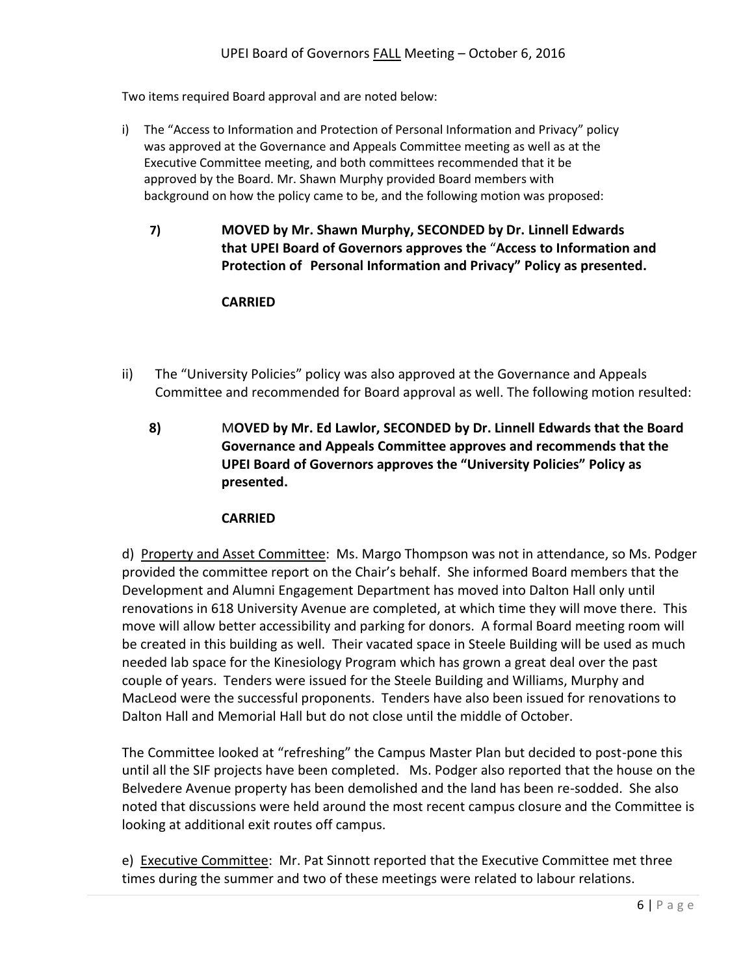Two items required Board approval and are noted below:

- i) The "Access to Information and Protection of Personal Information and Privacy" policy was approved at the Governance and Appeals Committee meeting as well as at the Executive Committee meeting, and both committees recommended that it be approved by the Board. Mr. Shawn Murphy provided Board members with background on how the policy came to be, and the following motion was proposed:
	- **7) MOVED by Mr. Shawn Murphy, SECONDED by Dr. Linnell Edwards that UPEI Board of Governors approves the** "**Access to Information and Protection of Personal Information and Privacy" Policy as presented.**

# **CARRIED**

- ii) The "University Policies" policy was also approved at the Governance and Appeals Committee and recommended for Board approval as well. The following motion resulted:
	- **8)** M**OVED by Mr. Ed Lawlor, SECONDED by Dr. Linnell Edwards that the Board Governance and Appeals Committee approves and recommends that the UPEI Board of Governors approves the "University Policies" Policy as presented.**

# **CARRIED**

d) Property and Asset Committee: Ms. Margo Thompson was not in attendance, so Ms. Podger provided the committee report on the Chair's behalf. She informed Board members that the Development and Alumni Engagement Department has moved into Dalton Hall only until renovations in 618 University Avenue are completed, at which time they will move there. This move will allow better accessibility and parking for donors. A formal Board meeting room will be created in this building as well. Their vacated space in Steele Building will be used as much needed lab space for the Kinesiology Program which has grown a great deal over the past couple of years. Tenders were issued for the Steele Building and Williams, Murphy and MacLeod were the successful proponents. Tenders have also been issued for renovations to Dalton Hall and Memorial Hall but do not close until the middle of October.

The Committee looked at "refreshing" the Campus Master Plan but decided to post-pone this until all the SIF projects have been completed. Ms. Podger also reported that the house on the Belvedere Avenue property has been demolished and the land has been re-sodded. She also noted that discussions were held around the most recent campus closure and the Committee is looking at additional exit routes off campus.

e) Executive Committee: Mr. Pat Sinnott reported that the Executive Committee met three times during the summer and two of these meetings were related to labour relations.